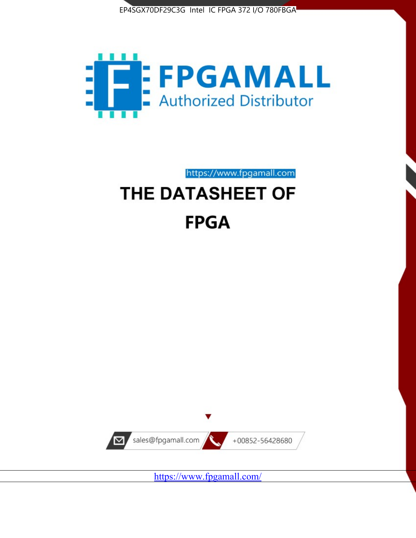



https://www.fpgamall.com

# THE DATASHEET OF **FPGA**



<https://www.fpgamall.com/>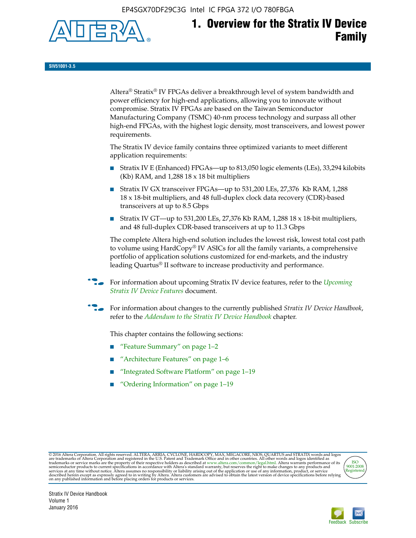EP4SGX70DF29C3G Intel IC FPGA 372 I/O 780FBGA



**SIV51001-3.5**

Altera® Stratix® IV FPGAs deliver a breakthrough level of system bandwidth and power efficiency for high-end applications, allowing you to innovate without compromise. Stratix IV FPGAs are based on the Taiwan Semiconductor Manufacturing Company (TSMC) 40-nm process technology and surpass all other high-end FPGAs, with the highest logic density, most transceivers, and lowest power requirements.

The Stratix IV device family contains three optimized variants to meet different application requirements:

- Stratix IV E (Enhanced) FPGAs—up to 813,050 logic elements (LEs), 33,294 kilobits (Kb) RAM, and 1,288 18 x 18 bit multipliers
- Stratix IV GX transceiver FPGAs—up to 531,200 LEs, 27,376 Kb RAM, 1,288 18 x 18-bit multipliers, and 48 full-duplex clock data recovery (CDR)-based transceivers at up to 8.5 Gbps
- Stratix IV GT—up to 531,200 LEs, 27,376 Kb RAM, 1,288 18 x 18-bit multipliers, and 48 full-duplex CDR-based transceivers at up to 11.3 Gbps

The complete Altera high-end solution includes the lowest risk, lowest total cost path to volume using HardCopy® IV ASICs for all the family variants, a comprehensive portfolio of application solutions customized for end-markets, and the industry leading Quartus® II software to increase productivity and performance.

f For information about upcoming Stratix IV device features, refer to the *[Upcoming](http://www.altera.com/literature/hb/stratix-iv/uf01001.pdf?GSA_pos=2&WT.oss_r=1&WT.oss=upcoming)  [Stratix IV Device Features](http://www.altera.com/literature/hb/stratix-iv/uf01001.pdf?GSA_pos=2&WT.oss_r=1&WT.oss=upcoming)* document.

f For information about changes to the currently published *Stratix IV Device Handbook*, refer to the *[Addendum to the Stratix IV Device Handbook](http://www.altera.com/literature/hb/stratix-iv/stx4_siv54002.pdf)* chapter.

This chapter contains the following sections:

- "Feature Summary" on page 1–2
- "Architecture Features" on page 1–6
- "Integrated Software Platform" on page 1–19
- "Ordering Information" on page 1–19

@2016 Altera Corporation. All rights reserved. ALTERA, ARRIA, CYCLONE, HARDCOPY, MAX, MEGACORE, NIOS, QUARTUS and STRATIX words and logos are trademarks of Altera Corporation and registered in the U.S. Patent and Trademark



Stratix IV Device Handbook Volume 1 January 2016

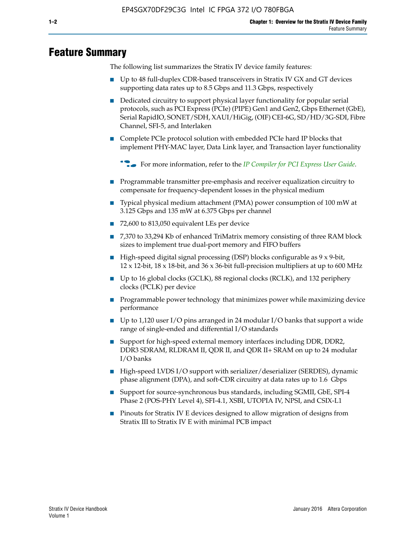# **Feature Summary**

The following list summarizes the Stratix IV device family features:

- Up to 48 full-duplex CDR-based transceivers in Stratix IV GX and GT devices supporting data rates up to 8.5 Gbps and 11.3 Gbps, respectively
- Dedicated circuitry to support physical layer functionality for popular serial protocols, such as PCI Express (PCIe) (PIPE) Gen1 and Gen2, Gbps Ethernet (GbE), Serial RapidIO, SONET/SDH, XAUI/HiGig, (OIF) CEI-6G, SD/HD/3G-SDI, Fibre Channel, SFI-5, and Interlaken
- Complete PCIe protocol solution with embedded PCIe hard IP blocks that implement PHY-MAC layer, Data Link layer, and Transaction layer functionality

**For more information, refer to the** *[IP Compiler for PCI Express User Guide](http://www.altera.com/literature/ug/ug_pci_express.pdf)***.** 

- Programmable transmitter pre-emphasis and receiver equalization circuitry to compensate for frequency-dependent losses in the physical medium
- Typical physical medium attachment (PMA) power consumption of 100 mW at 3.125 Gbps and 135 mW at 6.375 Gbps per channel
- 72,600 to 813,050 equivalent LEs per device
- 7,370 to 33,294 Kb of enhanced TriMatrix memory consisting of three RAM block sizes to implement true dual-port memory and FIFO buffers
- High-speed digital signal processing (DSP) blocks configurable as 9 x 9-bit,  $12 \times 12$ -bit,  $18 \times 18$ -bit, and  $36 \times 36$ -bit full-precision multipliers at up to 600 MHz
- Up to 16 global clocks (GCLK), 88 regional clocks (RCLK), and 132 periphery clocks (PCLK) per device
- Programmable power technology that minimizes power while maximizing device performance
- Up to 1,120 user I/O pins arranged in 24 modular I/O banks that support a wide range of single-ended and differential I/O standards
- Support for high-speed external memory interfaces including DDR, DDR2, DDR3 SDRAM, RLDRAM II, QDR II, and QDR II+ SRAM on up to 24 modular I/O banks
- High-speed LVDS I/O support with serializer/deserializer (SERDES), dynamic phase alignment (DPA), and soft-CDR circuitry at data rates up to 1.6 Gbps
- Support for source-synchronous bus standards, including SGMII, GbE, SPI-4 Phase 2 (POS-PHY Level 4), SFI-4.1, XSBI, UTOPIA IV, NPSI, and CSIX-L1
- Pinouts for Stratix IV E devices designed to allow migration of designs from Stratix III to Stratix IV E with minimal PCB impact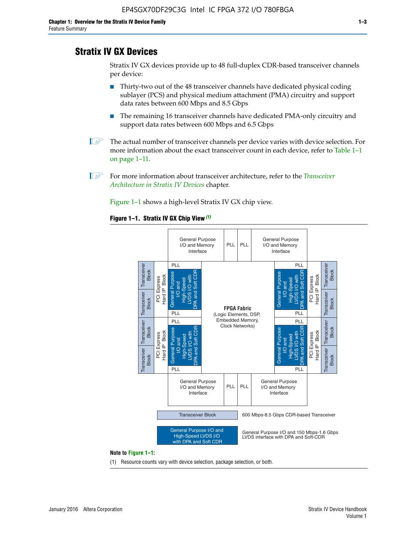# **Stratix IV GX Devices**

Stratix IV GX devices provide up to 48 full-duplex CDR-based transceiver channels per device:

- Thirty-two out of the 48 transceiver channels have dedicated physical coding sublayer (PCS) and physical medium attachment (PMA) circuitry and support data rates between 600 Mbps and 8.5 Gbps
- The remaining 16 transceiver channels have dedicated PMA-only circuitry and support data rates between 600 Mbps and 6.5 Gbps
- **1 The actual number of transceiver channels per device varies with device selection. For** more information about the exact transceiver count in each device, refer to Table 1–1 on page 1–11.
- 1 For more information about transceiver architecture, refer to the *[Transceiver](http://www.altera.com/literature/hb/stratix-iv/stx4_siv52001.pdf)  [Architecture in Stratix IV Devices](http://www.altera.com/literature/hb/stratix-iv/stx4_siv52001.pdf)* chapter.

Figure 1–1 shows a high-level Stratix IV GX chip view.

#### **Figure 1–1. Stratix IV GX Chip View** *(1)*



#### **Note to Figure 1–1:**

(1) Resource counts vary with device selection, package selection, or both.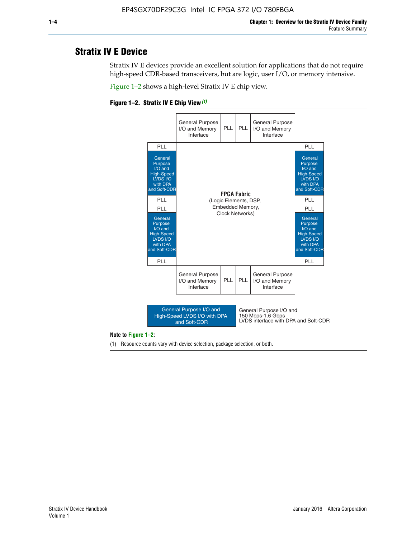# **Stratix IV E Device**

Stratix IV E devices provide an excellent solution for applications that do not require high-speed CDR-based transceivers, but are logic, user I/O, or memory intensive.

Figure 1–2 shows a high-level Stratix IV E chip view.





#### **Note to Figure 1–2:**

(1) Resource counts vary with device selection, package selection, or both.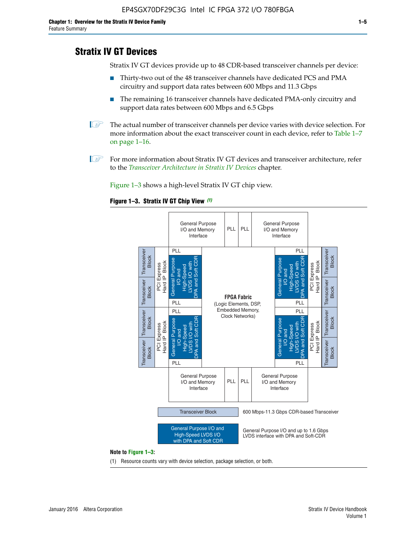# **Stratix IV GT Devices**

Stratix IV GT devices provide up to 48 CDR-based transceiver channels per device:

- Thirty-two out of the 48 transceiver channels have dedicated PCS and PMA circuitry and support data rates between 600 Mbps and 11.3 Gbps
- The remaining 16 transceiver channels have dedicated PMA-only circuitry and support data rates between 600 Mbps and 6.5 Gbps
- **1** The actual number of transceiver channels per device varies with device selection. For more information about the exact transceiver count in each device, refer to Table 1–7 on page 1–16.
- $\mathbb{I}$  For more information about Stratix IV GT devices and transceiver architecture, refer to the *[Transceiver Architecture in Stratix IV Devices](http://www.altera.com/literature/hb/stratix-iv/stx4_siv52001.pdf)* chapter.

Figure 1–3 shows a high-level Stratix IV GT chip view.

#### **Figure 1–3. Stratix IV GT Chip View** *(1)*



(1) Resource counts vary with device selection, package selection, or both.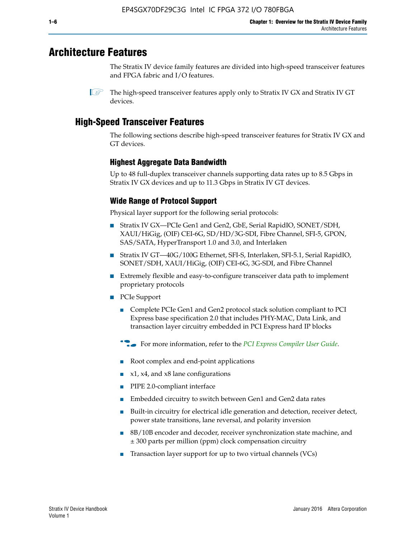# **Architecture Features**

The Stratix IV device family features are divided into high-speed transceiver features and FPGA fabric and I/O features.

 $\mathbb{I}$  The high-speed transceiver features apply only to Stratix IV GX and Stratix IV GT devices.

# **High-Speed Transceiver Features**

The following sections describe high-speed transceiver features for Stratix IV GX and GT devices.

## **Highest Aggregate Data Bandwidth**

Up to 48 full-duplex transceiver channels supporting data rates up to 8.5 Gbps in Stratix IV GX devices and up to 11.3 Gbps in Stratix IV GT devices.

## **Wide Range of Protocol Support**

Physical layer support for the following serial protocols:

- Stratix IV GX—PCIe Gen1 and Gen2, GbE, Serial RapidIO, SONET/SDH, XAUI/HiGig, (OIF) CEI-6G, SD/HD/3G-SDI, Fibre Channel, SFI-5, GPON, SAS/SATA, HyperTransport 1.0 and 3.0, and Interlaken
- Stratix IV GT—40G/100G Ethernet, SFI-S, Interlaken, SFI-5.1, Serial RapidIO, SONET/SDH, XAUI/HiGig, (OIF) CEI-6G, 3G-SDI, and Fibre Channel
- Extremely flexible and easy-to-configure transceiver data path to implement proprietary protocols
- PCIe Support
	- Complete PCIe Gen1 and Gen2 protocol stack solution compliant to PCI Express base specification 2.0 that includes PHY-MAC, Data Link, and transaction layer circuitry embedded in PCI Express hard IP blocks
	- **For more information, refer to the [PCI Express Compiler User Guide](http://www.altera.com/literature/ug/ug_pci_express.pdf).**
	- Root complex and end-point applications
	- $x1, x4,$  and  $x8$  lane configurations
	- PIPE 2.0-compliant interface
	- Embedded circuitry to switch between Gen1 and Gen2 data rates
	- Built-in circuitry for electrical idle generation and detection, receiver detect, power state transitions, lane reversal, and polarity inversion
	- 8B/10B encoder and decoder, receiver synchronization state machine, and ± 300 parts per million (ppm) clock compensation circuitry
	- Transaction layer support for up to two virtual channels (VCs)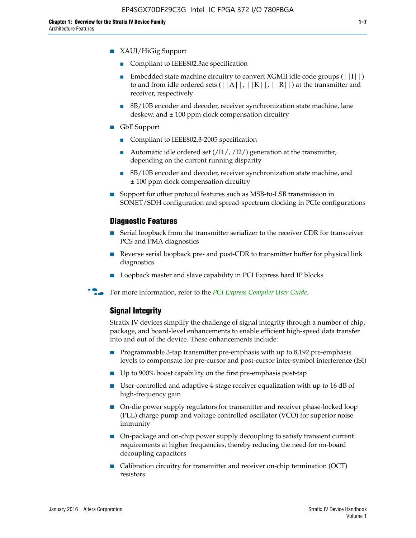- Compliant to IEEE802.3ae specification
- **■** Embedded state machine circuitry to convert XGMII idle code groups  $(|11|)$ to and from idle ordered sets  $(|A|, |K|, |R|)$  at the transmitter and receiver, respectively
- 8B/10B encoder and decoder, receiver synchronization state machine, lane deskew, and  $\pm 100$  ppm clock compensation circuitry
- GbE Support
	- Compliant to IEEE802.3-2005 specification
	- Automatic idle ordered set  $(111/112/1)$  generation at the transmitter, depending on the current running disparity
	- 8B/10B encoder and decoder, receiver synchronization state machine, and ± 100 ppm clock compensation circuitry
- Support for other protocol features such as MSB-to-LSB transmission in SONET/SDH configuration and spread-spectrum clocking in PCIe configurations

## **Diagnostic Features**

- Serial loopback from the transmitter serializer to the receiver CDR for transceiver PCS and PMA diagnostics
- Reverse serial loopback pre- and post-CDR to transmitter buffer for physical link diagnostics
- Loopback master and slave capability in PCI Express hard IP blocks
- **For more information, refer to the** *[PCI Express Compiler User Guide](http://www.altera.com/literature/ug/ug_pci_express.pdf)***.**

## **Signal Integrity**

Stratix IV devices simplify the challenge of signal integrity through a number of chip, package, and board-level enhancements to enable efficient high-speed data transfer into and out of the device. These enhancements include:

- Programmable 3-tap transmitter pre-emphasis with up to 8,192 pre-emphasis levels to compensate for pre-cursor and post-cursor inter-symbol interference (ISI)
- Up to 900% boost capability on the first pre-emphasis post-tap
- User-controlled and adaptive 4-stage receiver equalization with up to 16 dB of high-frequency gain
- On-die power supply regulators for transmitter and receiver phase-locked loop (PLL) charge pump and voltage controlled oscillator (VCO) for superior noise immunity
- On-package and on-chip power supply decoupling to satisfy transient current requirements at higher frequencies, thereby reducing the need for on-board decoupling capacitors
- Calibration circuitry for transmitter and receiver on-chip termination (OCT) resistors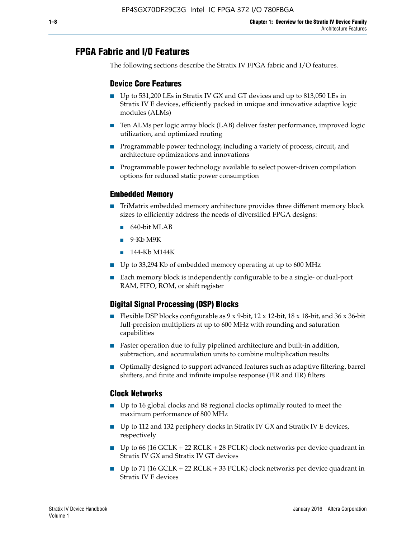# **FPGA Fabric and I/O Features**

The following sections describe the Stratix IV FPGA fabric and I/O features.

## **Device Core Features**

- Up to 531,200 LEs in Stratix IV GX and GT devices and up to 813,050 LEs in Stratix IV E devices, efficiently packed in unique and innovative adaptive logic modules (ALMs)
- Ten ALMs per logic array block (LAB) deliver faster performance, improved logic utilization, and optimized routing
- Programmable power technology, including a variety of process, circuit, and architecture optimizations and innovations
- Programmable power technology available to select power-driven compilation options for reduced static power consumption

## **Embedded Memory**

- TriMatrix embedded memory architecture provides three different memory block sizes to efficiently address the needs of diversified FPGA designs:
	- 640-bit MLAB
	- 9-Kb M9K
	- 144-Kb M144K
- Up to 33,294 Kb of embedded memory operating at up to 600 MHz
- Each memory block is independently configurable to be a single- or dual-port RAM, FIFO, ROM, or shift register

## **Digital Signal Processing (DSP) Blocks**

- Flexible DSP blocks configurable as  $9 \times 9$ -bit,  $12 \times 12$ -bit,  $18 \times 18$ -bit, and  $36 \times 36$ -bit full-precision multipliers at up to 600 MHz with rounding and saturation capabilities
- Faster operation due to fully pipelined architecture and built-in addition, subtraction, and accumulation units to combine multiplication results
- Optimally designed to support advanced features such as adaptive filtering, barrel shifters, and finite and infinite impulse response (FIR and IIR) filters

#### **Clock Networks**

- Up to 16 global clocks and 88 regional clocks optimally routed to meet the maximum performance of 800 MHz
- Up to 112 and 132 periphery clocks in Stratix IV GX and Stratix IV E devices, respectively
- Up to 66 (16 GCLK + 22 RCLK + 28 PCLK) clock networks per device quadrant in Stratix IV GX and Stratix IV GT devices
- Up to 71 (16 GCLK + 22 RCLK + 33 PCLK) clock networks per device quadrant in Stratix IV E devices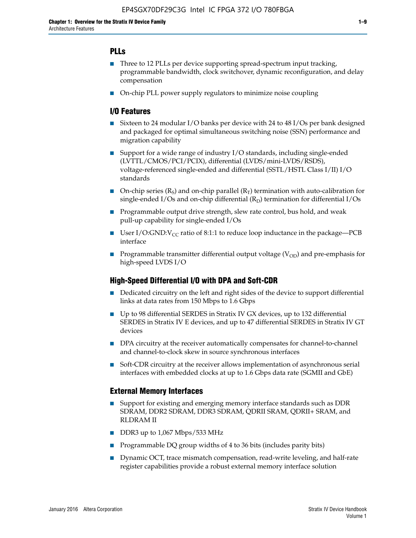## **PLLs**

- Three to 12 PLLs per device supporting spread-spectrum input tracking, programmable bandwidth, clock switchover, dynamic reconfiguration, and delay compensation
- On-chip PLL power supply regulators to minimize noise coupling

## **I/O Features**

- Sixteen to 24 modular I/O banks per device with 24 to 48 I/Os per bank designed and packaged for optimal simultaneous switching noise (SSN) performance and migration capability
- Support for a wide range of industry I/O standards, including single-ended (LVTTL/CMOS/PCI/PCIX), differential (LVDS/mini-LVDS/RSDS), voltage-referenced single-ended and differential (SSTL/HSTL Class I/II) I/O standards
- **O**n-chip series  $(R_S)$  and on-chip parallel  $(R_T)$  termination with auto-calibration for single-ended I/Os and on-chip differential  $(R_D)$  termination for differential I/Os
- Programmable output drive strength, slew rate control, bus hold, and weak pull-up capability for single-ended I/Os
- User I/O:GND: $V_{CC}$  ratio of 8:1:1 to reduce loop inductance in the package—PCB interface
- **■** Programmable transmitter differential output voltage ( $V_{OD}$ ) and pre-emphasis for high-speed LVDS I/O

#### **High-Speed Differential I/O with DPA and Soft-CDR**

- Dedicated circuitry on the left and right sides of the device to support differential links at data rates from 150 Mbps to 1.6 Gbps
- Up to 98 differential SERDES in Stratix IV GX devices, up to 132 differential SERDES in Stratix IV E devices, and up to 47 differential SERDES in Stratix IV GT devices
- DPA circuitry at the receiver automatically compensates for channel-to-channel and channel-to-clock skew in source synchronous interfaces
- Soft-CDR circuitry at the receiver allows implementation of asynchronous serial interfaces with embedded clocks at up to 1.6 Gbps data rate (SGMII and GbE)

#### **External Memory Interfaces**

- Support for existing and emerging memory interface standards such as DDR SDRAM, DDR2 SDRAM, DDR3 SDRAM, QDRII SRAM, QDRII+ SRAM, and RLDRAM II
- DDR3 up to 1,067 Mbps/533 MHz
- Programmable DQ group widths of 4 to 36 bits (includes parity bits)
- Dynamic OCT, trace mismatch compensation, read-write leveling, and half-rate register capabilities provide a robust external memory interface solution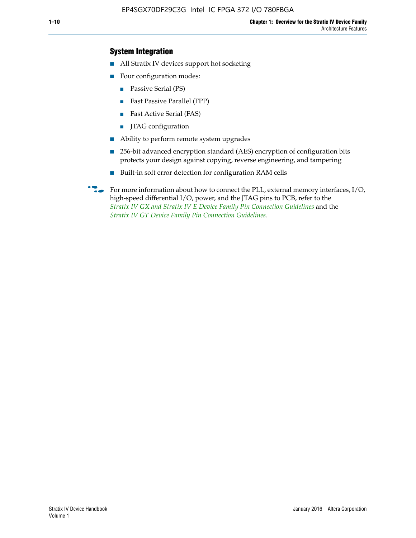## **System Integration**

- All Stratix IV devices support hot socketing
- Four configuration modes:
	- Passive Serial (PS)
	- Fast Passive Parallel (FPP)
	- Fast Active Serial (FAS)
	- JTAG configuration
- Ability to perform remote system upgrades
- 256-bit advanced encryption standard (AES) encryption of configuration bits protects your design against copying, reverse engineering, and tampering
- Built-in soft error detection for configuration RAM cells
- For more information about how to connect the PLL, external memory interfaces,  $I/O$ , high-speed differential I/O, power, and the JTAG pins to PCB, refer to the *[Stratix IV GX and Stratix IV E Device Family Pin Connection Guidelines](http://www.altera.com/literature/dp/stratix4/PCG-01005.pdf)* and the *[Stratix IV GT Device Family Pin Connection Guidelines](http://www.altera.com/literature/dp/stratix4/PCG-01006.pdf)*.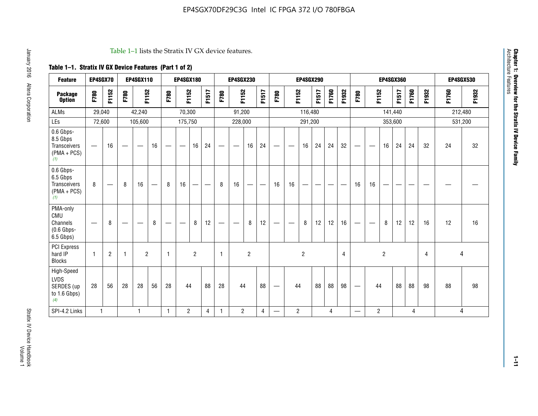#### Table 1–1 lists the Stratix IV GX device features.

## **Table 1–1. Stratix IV GX Device Features (Part 1 of 2)**

| <b>Feature</b>                                                       | EP4SGX70     |                               |      | <b>EP4SGX110</b>  |                   |      | <b>EP4SGX180</b>                |                |       |                                 | <b>EP4SGX230</b>              |                |                                   |                   |                | <b>EP4SGX290</b>         |                          |       |                |                                   |                                |                | <b>EP4SGX360</b> |       |                |       | <b>EP4SGX530</b> |
|----------------------------------------------------------------------|--------------|-------------------------------|------|-------------------|-------------------|------|---------------------------------|----------------|-------|---------------------------------|-------------------------------|----------------|-----------------------------------|-------------------|----------------|--------------------------|--------------------------|-------|----------------|-----------------------------------|--------------------------------|----------------|------------------|-------|----------------|-------|------------------|
| <b>Package</b><br><b>Option</b>                                      | F780         | F1152                         | F780 | F1152             |                   | F780 | F1152                           |                | F1517 | F780                            | F1152                         |                | F1517                             | F780              | F1152          |                          | F1517                    | F1760 | F1932          | F780                              | F1152                          |                | F1517            | F1760 | F1932          | F1760 | F1932            |
| <b>ALMs</b>                                                          | 29,040       |                               |      | 42,240            |                   |      | 70,300                          |                |       |                                 | 91,200                        |                |                                   |                   |                | 116,480                  |                          |       |                |                                   |                                | 141,440        |                  |       |                |       | 212,480          |
| LEs                                                                  | 72,600       |                               |      | 105,600           |                   |      | 175,750                         |                |       |                                 | 228,000                       |                |                                   |                   |                | 291,200                  |                          |       |                |                                   |                                |                | 353,600          |       |                |       | 531,200          |
| 0.6 Gbps-<br>8.5 Gbps<br>Transceivers<br>$(PMA + PCs)$<br>(1)        | —            | 16                            |      | $\hspace{0.05cm}$ | 16                | —    | $\hspace{0.1mm}-\hspace{0.1mm}$ | 16             | 24    | $\hspace{0.1mm}-\hspace{0.1mm}$ | $\overbrace{\phantom{aaaaa}}$ | 16             | 24                                | $\hspace{0.05cm}$ |                | 16                       | 24                       | 24    | 32             | $\overbrace{\phantom{123221111}}$ | $\overbrace{\phantom{aaaaa}}$  | 16             | 24               | 24    | 32             | 24    | 32               |
| 0.6 Gbps-<br>6.5 Gbps<br><b>Transceivers</b><br>$(PMA + PCs)$<br>(1) | 8            | $\overbrace{\phantom{aaaaa}}$ | 8    | 16                | $\qquad \qquad -$ | 8    | 16                              | -              | —     | 8                               | 16                            | —              | $\overbrace{\phantom{123221111}}$ | 16                | 16             | $\overline{\phantom{0}}$ | $\overline{\phantom{0}}$ |       |                | 16                                | 16                             | —              |                  |       |                |       |                  |
| PMA-only<br>CMU<br>Channels<br>$(0.6$ Gbps-<br>6.5 Gbps)             |              | 8                             |      |                   | 8                 |      | —                               | 8              | 12    |                                 | $\overline{\phantom{m}}$      | 8              | 12                                | $\hspace{0.05cm}$ | -              | 8                        | 12                       | 12    | 16             |                                   | $\qquad \qquad \longleftarrow$ | 8              | 12               | 12    | 16             | 12    | 16               |
| PCI Express<br>hard IP<br><b>Blocks</b>                              | $\mathbf{1}$ | $\overline{c}$                | -1   | $\overline{2}$    |                   | 1    |                                 | $\overline{2}$ |       | $\mathbf{1}$                    |                               | $\overline{c}$ |                                   |                   |                | $\overline{2}$           |                          |       | $\overline{4}$ |                                   |                                | $\overline{c}$ |                  |       | $\overline{4}$ | 4     |                  |
| High-Speed<br><b>LVDS</b><br>SERDES (up<br>to 1.6 Gbps)<br>(4)       | 28           | 56                            | 28   | 28                | 56                | 28   | 44                              |                | 88    | 28                              | 44                            |                | 88                                | —                 | 44             |                          | 88                       | 88    | 98             |                                   | 44                             |                | 88               | 88    | 98             | 88    | 98               |
| SPI-4.2 Links                                                        | $\mathbf{1}$ |                               |      | 1                 |                   | 1    | $\overline{c}$                  |                | 4     | 1                               | $\overline{2}$                |                | 4                                 | —                 | $\overline{c}$ |                          |                          | 4     |                | $\overline{\phantom{0}}$          | 2                              |                |                  | 4     |                |       | 4                |

**1–11**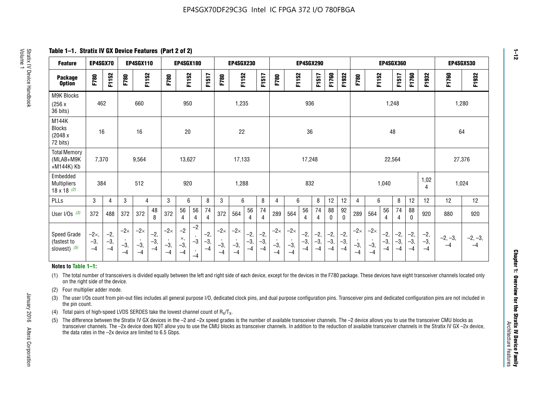**Table 1–1. Stratix IV GX Device Features (Part 2 of 2)**

| <b>Feature</b>                                       | EP4SGX70                      |                        |                             | EP4SGX110                   |                      |                             | <b>EP4SGX180</b>            |                                            |                        | EP4SGX230<br><b>EP4SGX290</b><br><b>EP4SGX360</b> |                             | <b>EP4SGX530</b>       |                      |                             |                             |                        |                      |                        |                        |                             |                             |                        |                        |                                    |                        |                   |                   |
|------------------------------------------------------|-------------------------------|------------------------|-----------------------------|-----------------------------|----------------------|-----------------------------|-----------------------------|--------------------------------------------|------------------------|---------------------------------------------------|-----------------------------|------------------------|----------------------|-----------------------------|-----------------------------|------------------------|----------------------|------------------------|------------------------|-----------------------------|-----------------------------|------------------------|------------------------|------------------------------------|------------------------|-------------------|-------------------|
| <b>Package</b><br><b>Option</b>                      | F780                          | F1152                  | F780                        | F1152                       |                      | F780                        | F1152                       |                                            | F1517                  | F780                                              | F1152                       |                        | <b>F1517</b>         | F780                        | F1152                       |                        | F1517                | F1760                  | F1932                  | F780                        | F1152                       |                        | F1517                  | F1760                              | F1932                  | F1760             | F1932             |
| <b>M9K Blocks</b><br>(256x)<br>36 bits)              | 462                           |                        |                             | 660                         |                      |                             | 950                         |                                            |                        |                                                   | 1,235                       |                        |                      |                             |                             | 936                    |                      |                        |                        |                             |                             | 1,248                  |                        |                                    |                        |                   | 1,280             |
| M144K<br><b>Blocks</b><br>(2048 x<br>72 bits)        | 16                            |                        |                             | 16                          |                      |                             | 20                          |                                            |                        |                                                   | 22                          |                        |                      |                             |                             | 36                     |                      |                        |                        |                             |                             | 48                     |                        |                                    |                        | 64                |                   |
| <b>Total Memory</b><br>(MLAB+M9K<br>+M144K) Kb       | 7,370                         |                        |                             | 9,564                       |                      |                             | 13,627                      |                                            |                        |                                                   | 17,133                      |                        |                      |                             |                             | 17,248                 |                      |                        |                        |                             |                             | 22,564                 |                        |                                    |                        | 27,376            |                   |
| Embedded<br><b>Multipliers</b><br>$18 \times 18$ (2) | 384                           |                        |                             | 512                         |                      |                             | 920                         |                                            |                        |                                                   | 1,288                       |                        |                      |                             |                             | 832                    |                      |                        |                        |                             |                             | 1,040                  |                        |                                    | 1,02<br>4              | 1,024             |                   |
| PLLs                                                 | 3                             | $\overline{4}$         | 3                           | 4                           |                      | 3                           | 6                           |                                            | 8                      | 3                                                 | 6                           |                        | 8                    | 4                           | 6                           |                        | 8                    | 12                     | 12                     | 4                           | 6                           |                        | 8                      | 12                                 | 12                     | 12                | 12                |
| User I/Os $(3)$                                      | 372                           | 488                    | 372                         | 372                         | 48<br>8              | 372                         | 56<br>$\overline{4}$        | 56<br>4                                    | 74<br>$\overline{4}$   | 372                                               | 564                         | 56<br>4                | 74<br>$\overline{4}$ | 289                         | 564                         | 56<br>4                | 74<br>4              | 88<br>0                | 92<br>$\mathbf 0$      | 289                         | 564                         | 56<br>4                | 74<br>4                | 88<br>0                            | 920                    | 880               | 920               |
| Speed Grade<br>(fastest to<br>slowest) (5)           | $-2\times$ ,<br>$-3,$<br>$-4$ | $-2,$<br>$-3,$<br>$-4$ | $-2\times$<br>$-3,$<br>$-4$ | $-2\times$<br>$-3,$<br>$-4$ | $-2,$<br>-3,<br>$-4$ | $-2\times$<br>$-3,$<br>$-4$ | $-2$<br>×,<br>$-3,$<br>$-4$ | $-2$<br>$\cdot$<br>$-3$<br>$\cdot$<br>$-4$ | $-2,$<br>$-3,$<br>$-4$ | $-2\times$<br>$-3,$<br>$-4$                       | $-2\times$<br>$-3,$<br>$-4$ | $-2,$<br>$-3,$<br>$-4$ | $-2,$<br>-3,<br>$-4$ | $-2\times$<br>$-3,$<br>$-4$ | $-2\times$<br>$-3,$<br>$-4$ | $-2,$<br>$-3,$<br>$-4$ | $-2,$<br>-3,<br>$-4$ | $-2,$<br>$-3,$<br>$-4$ | $-2,$<br>$-3,$<br>$-4$ | $-2\times$<br>$-3,$<br>$-4$ | $-2\times$<br>$-3,$<br>$-4$ | $-2,$<br>$-3,$<br>$-4$ | $-2,$<br>$-3,$<br>$-4$ | $\left(-2\right)$<br>$-3,$<br>$-4$ | $-2,$<br>$-3,$<br>$-4$ | $-2, -3,$<br>$-4$ | $-2, -3,$<br>$-4$ |

#### **Notes to Table 1–1:**

(1) The total number of transceivers is divided equally between the left and right side of each device, except for the devices in the F780 package. These devices have eight transceiver channels located only on the right side of the device.

- (2) Four multiplier adder mode.
- (3) The user I/Os count from pin-out files includes all general purpose I/O, dedicated clock pins, and dual purpose configuration pins. Transceiver pins and dedicated configuration pins are not included in the pin count.
- (4) Total pairs of high-speed LVDS SERDES take the lowest channel count of  $R_X/T_X$ .
- (5) The difference between the Stratix IV GX devices in the –2 and –2x speed grades is the number of available transceiver channels. The –2 device allows you to use the transceiver CMU blocks as transceiver channels. The –2x device does NOT allow you to use the CMU blocks as transceiver channels. In addition to the reduction of available transceiver channels in the Stratix IV GX –2x device, the data rates in the –2x device are limited to 6.5 Gbps.

January 2016 Altera Corporation

Altera Corporation

January 2016

**1–12**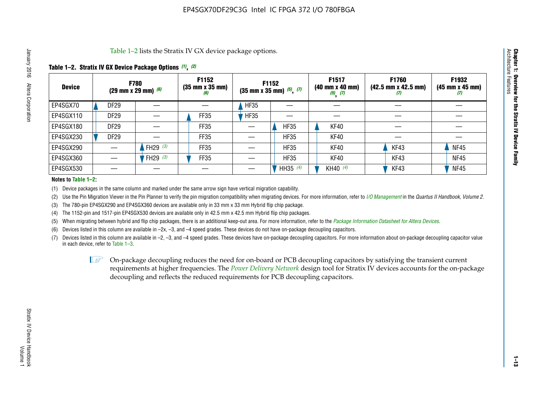Table 1–2 lists the Stratix IV GX device package options.

## **Table 1–2. Stratix IV GX Device Package Options** *(1)***,** *(2)*

| <b>Device</b> |                  | <b>F780</b><br>(29 mm x 29 mm) $(6)$ | F1152<br>$(35 \, \text{mm} \times 35 \, \text{mm})$<br>(6) |             | F1152<br>$(35$ mm x 35 mm) $(5)$ , $(7)$ | F1517<br>$(40 \, \text{mm} \times 40 \, \text{mm})$<br>$(5)$ $(7)$ | <b>F1760</b><br>$(42.5 \text{ mm} \times 42.5 \text{ mm})$<br>$\boldsymbol{U}$ | F1932<br>$(45 \, \text{mm} \times 45 \, \text{mm})$<br>(7) |
|---------------|------------------|--------------------------------------|------------------------------------------------------------|-------------|------------------------------------------|--------------------------------------------------------------------|--------------------------------------------------------------------------------|------------------------------------------------------------|
| EP4SGX70      | DF <sub>29</sub> |                                      |                                                            | <b>HF35</b> |                                          |                                                                    |                                                                                |                                                            |
| EP4SGX110     | DF <sub>29</sub> |                                      | FF35                                                       | <b>HF35</b> |                                          |                                                                    |                                                                                |                                                            |
| EP4SGX180     | DF <sub>29</sub> |                                      | FF35                                                       |             | <b>HF35</b>                              | KF40                                                               |                                                                                |                                                            |
| EP4SGX230     | <b>DF29</b>      |                                      | FF35                                                       |             | <b>HF35</b>                              | KF40                                                               |                                                                                |                                                            |
| EP4SGX290     |                  | FH29 $(3)$                           | FF35                                                       |             | <b>HF35</b>                              | KF40                                                               | KF43                                                                           | <b>NF45</b>                                                |
| EP4SGX360     |                  | FH29 (3)                             | FF35                                                       |             | <b>HF35</b>                              | KF40                                                               | KF43                                                                           | <b>NF45</b>                                                |
| EP4SGX530     |                  |                                      |                                                            |             | HH35 $(4)$                               | KH40 $(4)$                                                         | KF43                                                                           | <b>NF45</b>                                                |

#### **Notes to Table 1–2:**

(1) Device packages in the same column and marked under the same arrow sign have vertical migration capability.

(2) Use the Pin Migration Viewer in the Pin Planner to verify the pin migration compatibility when migrating devices. For more information, refer to *[I/O Management](http://www.altera.com/literature/hb/qts/qts_qii52013.pdf)* in the *Quartus II Handbook, Volume 2*.

(3) The 780-pin EP4SGX290 and EP4SGX360 devices are available only in 33 mm x 33 mm Hybrid flip chip package.

(4) The 1152-pin and 1517-pin EP4SGX530 devices are available only in 42.5 mm x 42.5 mm Hybrid flip chip packages.

(5) When migrating between hybrid and flip chip packages, there is an additional keep-out area. For more information, refer to the *[Package Information Datasheet for Altera Devices](http://www.altera.com/literature/ds/dspkg.pdf)*.

(6) Devices listed in this column are available in –2x, –3, and –4 speed grades. These devices do not have on-package decoupling capacitors.

(7) Devices listed in this column are available in –2, –3, and –4 speed grades. These devices have on-package decoupling capacitors. For more information about on-package decoupling capacitor value in each device, refer to Table 1–3.

 $\mathbb{L}$ s On-package decoupling reduces the need for on-board or PCB decoupling capacitors by satisfying the transient current requirements at higher frequencies. The *[Power Delivery Network](http://www.altera.com/literature/ug/pdn_tool_stxiv.zip)* design tool for Stratix IV devices accounts for the on-package decoupling and reflects the reduced requirements for PCB decoupling capacitors.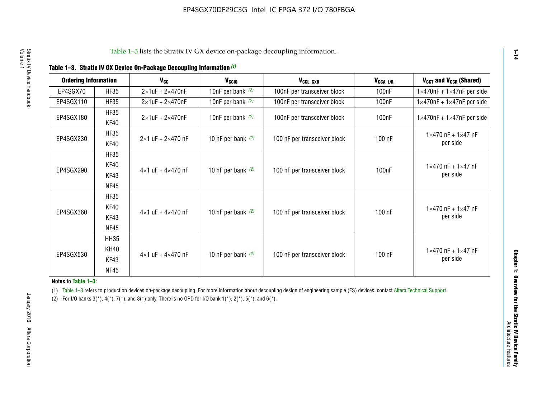| <b>Ordering Information</b> |                            | <b>V<sub>cc</sub></b>               | V <sub>ccio</sub>    | V <sub>CCL GXB</sub>         | V <sub>CCA_L/R</sub> | V <sub>CCT</sub> and V <sub>CCR</sub> (Shared)   |
|-----------------------------|----------------------------|-------------------------------------|----------------------|------------------------------|----------------------|--------------------------------------------------|
| EP4SGX70                    | <b>HF35</b>                | $2\times1$ uF + $2\times470$ nF     | 10nF per bank $(2)$  | 100nF per transceiver block  | 100 <sub>n</sub> F   | $1 \times 470$ nF + $1 \times 47$ nF per side    |
| EP4SGX110                   | <b>HF35</b>                | $2\times1$ uF + $2\times470$ nF     | 10nF per bank $(2)$  | 100nF per transceiver block  | 100 <sub>n</sub> F   | $1\times470$ nF + $1\times47$ nF per side        |
| EP4SGX180                   | <b>HF35</b><br>KF40        | $2\times1$ uF + $2\times470$ nF     | 10nF per bank $(2)$  | 100nF per transceiver block  | 100 <sub>n</sub> F   | $1 \times 470$ nF + $1 \times 47$ nF per side    |
| EP4SGX230                   | <b>HF35</b><br>KF40        | $2 \times 1$ uF + $2 \times 470$ nF | 10 nF per bank $(2)$ | 100 nF per transceiver block | 100 nF               | $1 \times 470$ nF + $1 \times 47$ nF<br>per side |
| EP4SGX290                   | <b>HF35</b><br><b>KF40</b> |                                     |                      |                              |                      | $1 \times 470$ nF + $1 \times 47$ nF             |
|                             | KF43<br><b>NF45</b>        | $4 \times 1$ uF + $4 \times 470$ nF | 10 nF per bank $(2)$ | 100 nF per transceiver block | 100nF                | per side                                         |
|                             | <b>HF35</b><br>KF40        |                                     |                      |                              |                      | $1 \times 470$ nF + $1 \times 47$ nF             |
| EP4SGX360                   | KF43<br><b>NF45</b>        | $4 \times 1$ uF + $4 \times 470$ nF | 10 nF per bank $(2)$ | 100 nF per transceiver block | 100 nF               | per side                                         |
|                             | <b>HH35</b>                |                                     |                      |                              |                      |                                                  |
| EP4SGX530                   | <b>KH40</b><br>KF43        | $4 \times 1$ uF + $4 \times 470$ nF | 10 nF per bank $(2)$ | 100 nF per transceiver block | 100 nF               | $1 \times 470$ nF + $1 \times 47$ nF<br>per side |
|                             | <b>NF45</b>                |                                     |                      |                              |                      |                                                  |

**Notes to Table 1–3:**

(1) Table 1-3 refers to production devices on-package decoupling. For more information about decoupling design of engineering sample (ES) devices, contact [Altera Technical Support](http://mysupport.altera.com/eservice/login.asp).

(2) For I/O banks  $3(*)$ ,  $4(*)$ ,  $7(*)$ , and  $8(*)$  only. There is no OPD for I/O bank  $1(*)$ ,  $2(*)$ ,  $5(*)$ , and  $6(*)$ .

**1–14**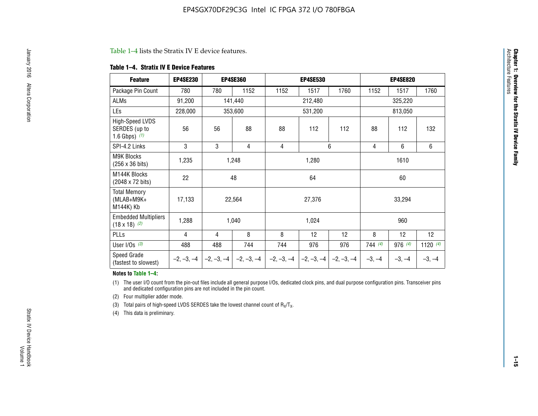#### Table 1–4 lists the Stratix IV E device features.

#### **Table 1–4. Stratix IV E Device Features**

| <b>Feature</b>                                      | <b>EP4SE230</b> |     | <b>EP4SE360</b>                          |              | <b>EP4SE530</b> |              |          | <b>EP4SE820</b> |            |  |
|-----------------------------------------------------|-----------------|-----|------------------------------------------|--------------|-----------------|--------------|----------|-----------------|------------|--|
| Package Pin Count                                   | 780             | 780 | 1152                                     | 1152         | 1517            | 1760         | 1152     | 1517            | 1760       |  |
| ALMs                                                | 91,200          |     | 141,440                                  |              | 212,480         |              |          | 325,220         |            |  |
| LEs                                                 | 228,000         |     | 353,600                                  |              | 531,200         |              |          | 813,050         |            |  |
| High-Speed LVDS<br>SERDES (up to<br>1.6 Gbps) $(1)$ | 56              | 56  | 88                                       | 88           | 112             | 112          | 88       | 112             | 132        |  |
| SPI-4.2 Links                                       | 3               | 3   | 4                                        | 4            |                 | 6            | 4        | 6               | 6          |  |
| <b>M9K Blocks</b><br>(256 x 36 bits)                | 1,235           |     | 1,248                                    |              | 1,280           |              |          | 1610            |            |  |
| M144K Blocks<br>(2048 x 72 bits)                    | 22              |     | 48                                       |              | 64              |              | 60       |                 |            |  |
| <b>Total Memory</b><br>$(MLAB+M9K+$<br>M144K) Kb    | 17,133          |     | 22,564                                   |              | 27,376          |              |          | 33,294          |            |  |
| <b>Embedded Multipliers</b><br>$(18 \times 18)$ (2) | 1,288           |     | 1,040                                    |              | 1,024           |              |          | 960             |            |  |
| PLLs                                                | 4               | 4   | 8                                        | 8            | 12              | 12           | 8        | 12              | 12         |  |
| User I/Os $(3)$                                     | 488             | 488 | 744                                      | 744          | 976             | 976          | 744(4)   | 976 (4)         | 1120 $(4)$ |  |
| Speed Grade<br>(fastest to slowest)                 |                 |     | $-2, -3, -4$ $ -2, -3, -4$ $ -2, -3, -4$ | $-2, -3, -4$ | $-2, -3, -4$    | $-2, -3, -4$ | $-3, -4$ | $-3, -4$        | $-3, -4$   |  |

#### **Notes to Table 1–4:**

(1) The user I/O count from the pin-out files include all general purpose I/Os, dedicated clock pins, and dual purpose configuration pins. Transceiver pins and dedicated configuration pins are not included in the pin count.

(2) Four multiplier adder mode.

(3) Total pairs of high-speed LVDS SERDES take the lowest channel count of  $R_X/T_X$ .

(4) This data is preliminary.

**Chapter 1: Overview for the Stratix IV Device Family**

**Chapter 1: Overview for the Stratix IV Device Family**<br>Architecture Faatures

Architecture Features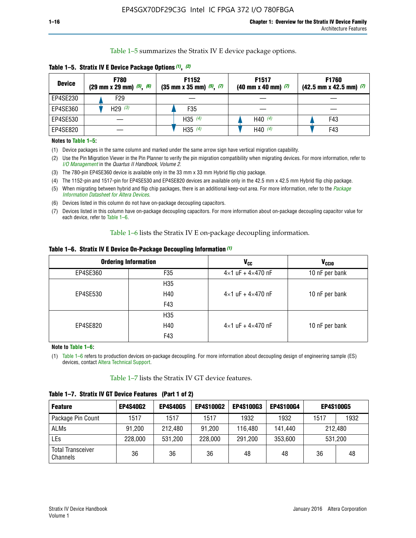Table 1–5 summarizes the Stratix IV E device package options.

| <b>Device</b> | <b>F780</b><br>$(29 \text{ mm} \times 29 \text{ mm})$ $(5)$ , $(6)$ | F1152<br>$(35 \text{ mm} \times 35 \text{ mm})$ $(5)$ , $(7)$ | F <sub>1517</sub><br>$(40 \text{ mm} \times 40 \text{ mm})$ (7) | <b>F1760</b><br>$(42.5$ mm x 42.5 mm) $(7)$ |  |  |
|---------------|---------------------------------------------------------------------|---------------------------------------------------------------|-----------------------------------------------------------------|---------------------------------------------|--|--|
| EP4SE230      | F29                                                                 |                                                               |                                                                 |                                             |  |  |
| EP4SE360      | H <sub>29</sub> $(3)$                                               | F35                                                           |                                                                 |                                             |  |  |
| EP4SE530      |                                                                     | H35 $(4)$                                                     | H40 $(4)$                                                       | F43                                         |  |  |
| EP4SE820      |                                                                     | H35 $(4)$                                                     | H40 $(4)$                                                       | F43                                         |  |  |

**Table 1–5. Stratix IV E Device Package Options** *(1)***,** *(2)*

#### **Notes to Table 1–5:**

(1) Device packages in the same column and marked under the same arrow sign have vertical migration capability.

(2) Use the Pin Migration Viewer in the Pin Planner to verify the pin migration compatibility when migrating devices. For more information, refer to *[I/O Management](http://www.altera.com/literature/hb/qts/qts_qii52013.pdf)* in the *Quartus II Handbook, Volume 2*.

(3) The 780-pin EP4SE360 device is available only in the 33 mm x 33 mm Hybrid flip chip package.

(4) The 1152-pin and 1517-pin for EP4SE530 and EP4SE820 devices are available only in the 42.5 mm x 42.5 mm Hybrid flip chip package.

(5) When migrating between hybrid and flip chip packages, there is an additional keep-out area. For more information, refer to the *[Package](http://www.altera.com/literature/ds/dspkg.pdf)  [Information Datasheet for Altera Devices](http://www.altera.com/literature/ds/dspkg.pdf)*.

(6) Devices listed in this column do not have on-package decoupling capacitors.

(7) Devices listed in this column have on-package decoupling capacitors. For more information about on-package decoupling capacitor value for each device, refer to Table 1–6.

Table 1–6 lists the Stratix IV E on-package decoupling information.

| Table 1–6. Stratix IV E Device On-Package Decoupling Information (1) |  |  |  |  |  |
|----------------------------------------------------------------------|--|--|--|--|--|
|----------------------------------------------------------------------|--|--|--|--|--|

|          | <b>Ordering Information</b> | V <sub>cc</sub>                     | <b>V<sub>CCIO</sub></b> |
|----------|-----------------------------|-------------------------------------|-------------------------|
| EP4SE360 | F <sub>35</sub>             | $4 \times 1$ uF + $4 \times 470$ nF | 10 nF per bank          |
|          | H <sub>35</sub>             |                                     |                         |
| EP4SE530 | H40                         | $4 \times 1$ uF + $4 \times 470$ nF | 10 nF per bank          |
|          | F43                         |                                     |                         |
|          | H <sub>35</sub>             |                                     |                         |
| EP4SE820 | H40                         | $4 \times 1$ uF + $4 \times 470$ nF | 10 nF per bank          |
|          | F43                         |                                     |                         |

**Note to Table 1–6:**

(1) Table 1–6 refers to production devices on-package decoupling. For more information about decoupling design of engineering sample (ES) devices, contact [Altera Technical Support](http://mysupport.altera.com/eservice/login.asp).

Table 1–7 lists the Stratix IV GT device features.

| <b>Feature</b>                       | <b>EP4S40G2</b> | <b>EP4S40G5</b> | <b>EP4S100G2</b> | <b>EP4S100G3</b> | <b>EP4S100G4</b> | <b>EP4S100G5</b> |         |
|--------------------------------------|-----------------|-----------------|------------------|------------------|------------------|------------------|---------|
| Package Pin Count                    | 1517            | 1517            | 1517             | 1932             | 1932             | 1517             | 1932    |
| <b>ALMs</b>                          | 91,200          | 212,480         | 91,200           | 116,480          | 141,440          | 212.480          |         |
| LEs                                  | 228,000         | 531,200         | 228,000          | 291,200          | 353,600          |                  | 531,200 |
| <b>Total Transceiver</b><br>Channels | 36              | 36              | 36               | 48               | 48               | 36               | 48      |

**Table 1–7. Stratix IV GT Device Features (Part 1 of 2)**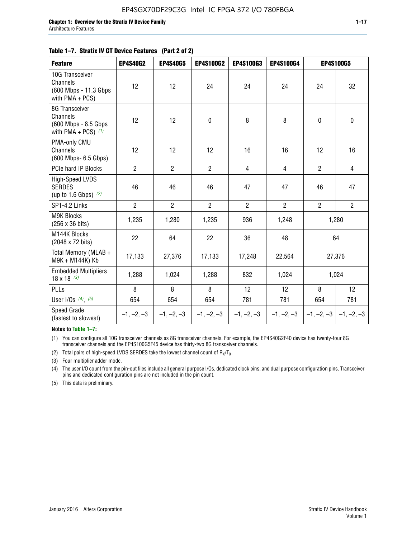#### **Table 1–7. Stratix IV GT Device Features (Part 2 of 2)**

| <b>Feature</b>                                                              | <b>EP4S40G2</b> | <b>EP4S40G5</b> | <b>EP4S100G2</b> | <b>EP4S100G3</b> | <b>EP4S100G4</b> |                | <b>EP4S100G5</b> |
|-----------------------------------------------------------------------------|-----------------|-----------------|------------------|------------------|------------------|----------------|------------------|
| 10G Transceiver<br>Channels<br>(600 Mbps - 11.3 Gbps<br>with PMA + PCS)     | 12              | 12              | 24               | 24               | 24               | 24             | 32               |
| 8G Transceiver<br>Channels<br>(600 Mbps - 8.5 Gbps<br>with PMA + PCS) $(1)$ | 12              | 12              | $\mathbf 0$      | 8                | 8                | $\mathbf 0$    | $\pmb{0}$        |
| PMA-only CMU<br>Channels<br>(600 Mbps- 6.5 Gbps)                            | 12              | 12              | 12               | 16               | 16               | 12             | 16               |
| PCIe hard IP Blocks                                                         | $\overline{2}$  | $\overline{2}$  | $\overline{2}$   | 4                | $\overline{4}$   | $\overline{2}$ | $\overline{4}$   |
| High-Speed LVDS<br><b>SERDES</b><br>(up to 1.6 Gbps) $(2)$                  | 46              | 46              | 46               | 47               | 47               | 46             | 47               |
| SP1-4.2 Links                                                               | $\overline{2}$  | $\overline{2}$  | $\overline{2}$   | $\overline{2}$   | $\overline{2}$   | $\overline{2}$ | $2^{\circ}$      |
| <b>M9K Blocks</b><br>(256 x 36 bits)                                        | 1,235           | 1,280           | 1,235            | 936              | 1,248            |                | 1,280            |
| M144K Blocks<br>(2048 x 72 bits)                                            | 22              | 64              | 22               | 36               | 48               |                | 64               |
| Total Memory (MLAB +<br>M9K + M144K) Kb                                     | 17,133          | 27,376          | 17,133           | 17,248           | 22,564           |                | 27,376           |
| <b>Embedded Multipliers</b><br>$18 \times 18^{(3)}$                         | 1,288           | 1,024           | 1,288            | 832              | 1,024            |                | 1,024            |
| <b>PLLs</b>                                                                 | 8               | 8               | 8                | 12               | 12               | 8              | 12               |
| User I/Os $(4)$ , $(5)$                                                     | 654             | 654             | 654              | 781              | 781              | 654            | 781              |
| Speed Grade<br>(fastest to slowest)                                         | $-1, -2, -3$    | $-1, -2, -3$    | $-1, -2, -3$     | $-1, -2, -3$     | $-1, -2, -3$     | $-1, -2, -3$   | $-1, -2, -3$     |

**Notes to Table 1–7:**

(1) You can configure all 10G transceiver channels as 8G transceiver channels. For example, the EP4S40G2F40 device has twenty-four 8G transceiver channels and the EP4S100G5F45 device has thirty-two 8G transceiver channels.

(2) Total pairs of high-speed LVDS SERDES take the lowest channel count of  $R_X/T_X$ .

(3) Four multiplier adder mode.

(4) The user I/O count from the pin-out files include all general purpose I/Os, dedicated clock pins, and dual purpose configuration pins. Transceiver pins and dedicated configuration pins are not included in the pin count.

(5) This data is preliminary.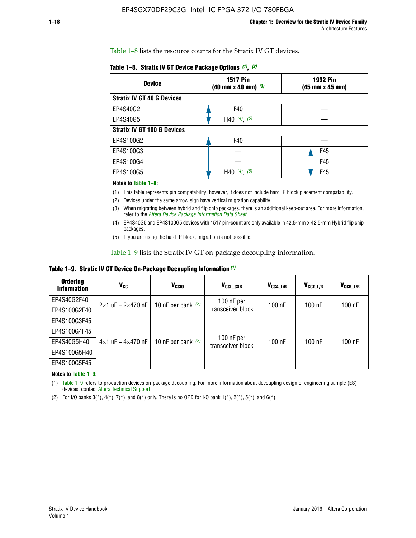Table 1–8 lists the resource counts for the Stratix IV GT devices.

| <b>Device</b>                      | <b>1517 Pin</b><br><b>1932 Pin</b><br>$(40 \text{ mm} \times 40 \text{ mm})$ $(3)$<br>(45 mm x 45 mm) |     |
|------------------------------------|-------------------------------------------------------------------------------------------------------|-----|
| <b>Stratix IV GT 40 G Devices</b>  |                                                                                                       |     |
| EP4S40G2                           | F40                                                                                                   |     |
| EP4S40G5                           | H40 $(4)$ , $(5)$                                                                                     |     |
| <b>Stratix IV GT 100 G Devices</b> |                                                                                                       |     |
| EP4S100G2                          | F40                                                                                                   |     |
| EP4S100G3                          |                                                                                                       | F45 |
| EP4S100G4                          |                                                                                                       | F45 |
| EP4S100G5                          | $(4)$ ,<br>(5)<br>H40                                                                                 | F45 |

#### **Notes to Table 1–8:**

(1) This table represents pin compatability; however, it does not include hard IP block placement compatability.

- (2) Devices under the same arrow sign have vertical migration capability.
- (3) When migrating between hybrid and flip chip packages, there is an additional keep-out area. For more information, refer to the *[Altera Device Package Information Data Sheet](http://www.altera.com/literature/ds/dspkg.pdf)*.
- (4) EP4S40G5 and EP4S100G5 devices with 1517 pin-count are only available in 42.5-mm x 42.5-mm Hybrid flip chip packages.
- (5) If you are using the hard IP block, migration is not possible.

Table 1–9 lists the Stratix IV GT on-package decoupling information.

**Table 1–9. Stratix IV GT Device On-Package Decoupling Information** *(1)*

| <b>Ordering</b><br><b>Information</b> | Vcc                                 | <b>V<sub>CCIO</sub></b> | V <sub>CCL GXB</sub>            | V <sub>CCA L/R</sub> | V <sub>CCT L/R</sub> | V <sub>CCR_L/R</sub> |
|---------------------------------------|-------------------------------------|-------------------------|---------------------------------|----------------------|----------------------|----------------------|
| EP4S40G2F40                           | $2 \times 1$ uF + $2 \times 470$ nF | 10 nF per bank $(2)$    | 100 nF per<br>transceiver block | $100$ nF             | $100$ nF             | $100$ nF             |
| EP4S100G2F40                          |                                     |                         |                                 |                      |                      |                      |
| EP4S100G3F45                          |                                     | 10 nF per bank $(2)$    | 100 nF per<br>transceiver block | $100$ nF             | $100$ nF             | $100$ nF             |
| EP4S100G4F45                          |                                     |                         |                                 |                      |                      |                      |
| EP4S40G5H40                           | $4\times1$ uF + $4\times470$ nF     |                         |                                 |                      |                      |                      |
| EP4S100G5H40                          |                                     |                         |                                 |                      |                      |                      |
| EP4S100G5F45                          |                                     |                         |                                 |                      |                      |                      |

**Notes to Table 1–9:**

(1) Table 1–9 refers to production devices on-package decoupling. For more information about decoupling design of engineering sample (ES) devices, contact [Altera Technical Support](http://mysupport.altera.com/eservice/login.asp).

(2) For I/O banks  $3(*)$ ,  $4(*)$ ,  $7(*)$ , and  $8(*)$  only. There is no OPD for I/O bank  $1(*)$ ,  $2(*)$ ,  $5(*)$ , and  $6(*)$ .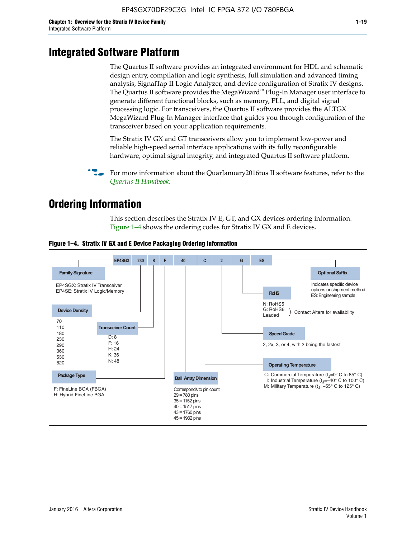# **Integrated Software Platform**

The Quartus II software provides an integrated environment for HDL and schematic design entry, compilation and logic synthesis, full simulation and advanced timing analysis, SignalTap II Logic Analyzer, and device configuration of Stratix IV designs. The Quartus II software provides the MegaWizard<sup> $M$ </sup> Plug-In Manager user interface to generate different functional blocks, such as memory, PLL, and digital signal processing logic. For transceivers, the Quartus II software provides the ALTGX MegaWizard Plug-In Manager interface that guides you through configuration of the transceiver based on your application requirements.

The Stratix IV GX and GT transceivers allow you to implement low-power and reliable high-speed serial interface applications with its fully reconfigurable hardware, optimal signal integrity, and integrated Quartus II software platform.

For more information about the QuarJanuary2016tus II software features, refer to the *[Quartus II Handbook](http://www.altera.com/literature/lit-qts.jsp)*.

# **Ordering Information**

This section describes the Stratix IV E, GT, and GX devices ordering information. Figure 1–4 shows the ordering codes for Stratix IV GX and E devices.



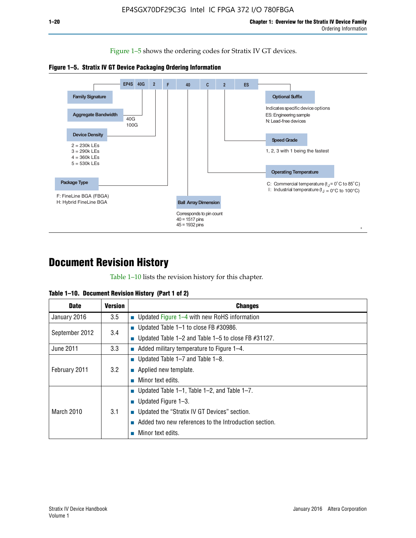Figure 1–5 shows the ordering codes for Stratix IV GT devices.





# **Document Revision History**

Table 1–10 lists the revision history for this chapter.

| Table 1–10. Document Revision History (Part 1 of 2) |  |  |  |  |  |
|-----------------------------------------------------|--|--|--|--|--|
|-----------------------------------------------------|--|--|--|--|--|

| <b>Date</b>       | <b>Version</b> | <b>Changes</b>                                              |
|-------------------|----------------|-------------------------------------------------------------|
| January 2016      | 3.5            | ■ Updated Figure 1–4 with new RoHS information              |
| September 2012    | 3.4            | ■ Updated Table 1–1 to close FB $#30986$ .                  |
|                   |                | Updated Table $1-2$ and Table $1-5$ to close FB $\#31127$ . |
| June 2011         | 3.3            | $\blacksquare$ Added military temperature to Figure 1–4.    |
| February 2011     |                | ■ Updated Table 1–7 and Table 1–8.                          |
|                   | 3.2            | $\blacksquare$ Applied new template.                        |
|                   |                | Minor text edits.                                           |
| <b>March 2010</b> |                | <b>Updated Table 1–1, Table 1–2, and Table 1–7.</b>         |
|                   |                | <b>U</b> Updated Figure 1–3.                                |
|                   | 3.1            | ■ Updated the "Stratix IV GT Devices" section.              |
|                   |                | Added two new references to the Introduction section.       |
|                   |                | Minor text edits.                                           |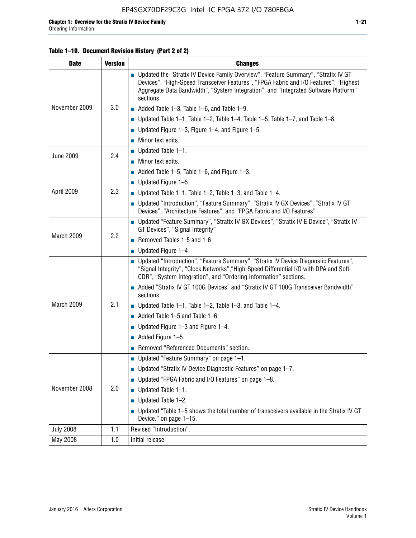#### **Table 1–10. Document Revision History (Part 2 of 2)**

| <b>Date</b>      | <b>Version</b> | <b>Changes</b>                                                                                                                                                                                                                                                                    |  |  |
|------------------|----------------|-----------------------------------------------------------------------------------------------------------------------------------------------------------------------------------------------------------------------------------------------------------------------------------|--|--|
|                  |                | ■ Updated the "Stratix IV Device Family Overview", "Feature Summary", "Stratix IV GT<br>Devices", "High-Speed Transceiver Features", "FPGA Fabric and I/O Features", "Highest<br>Aggregate Data Bandwidth", "System Integration", and "Integrated Software Platform"<br>sections. |  |  |
| November 2009    | 3.0            | $\blacksquare$ Added Table 1-3, Table 1-6, and Table 1-9.                                                                                                                                                                                                                         |  |  |
|                  |                | $\blacksquare$ Updated Table 1-1, Table 1-2, Table 1-4, Table 1-5, Table 1-7, and Table 1-8.                                                                                                                                                                                      |  |  |
|                  |                | ■ Updated Figure 1–3, Figure 1–4, and Figure 1–5.                                                                                                                                                                                                                                 |  |  |
|                  |                | $\blacksquare$ Minor text edits.                                                                                                                                                                                                                                                  |  |  |
| <b>June 2009</b> | 2.4            | $\blacksquare$ Updated Table 1-1.                                                                                                                                                                                                                                                 |  |  |
|                  |                | Minor text edits.                                                                                                                                                                                                                                                                 |  |  |
|                  |                | $\blacksquare$ Added Table 1–5, Table 1–6, and Figure 1–3.                                                                                                                                                                                                                        |  |  |
|                  |                | $\blacksquare$ Updated Figure 1-5.                                                                                                                                                                                                                                                |  |  |
| April 2009       | 2.3            | Updated Table $1-1$ , Table $1-2$ , Table $1-3$ , and Table $1-4$ .                                                                                                                                                                                                               |  |  |
|                  |                | ■ Updated "Introduction", "Feature Summary", "Stratix IV GX Devices", "Stratix IV GT<br>Devices", "Architecture Features", and "FPGA Fabric and I/O Features"                                                                                                                     |  |  |
|                  | 2.2            | ■ Updated "Feature Summary", "Stratix IV GX Devices", "Stratix IV E Device", "Stratix IV<br>GT Devices", "Signal Integrity"                                                                                                                                                       |  |  |
| March 2009       |                | Removed Tables 1-5 and 1-6                                                                                                                                                                                                                                                        |  |  |
|                  |                | Updated Figure 1-4                                                                                                                                                                                                                                                                |  |  |
|                  |                | ■ Updated "Introduction", "Feature Summary", "Stratix IV Device Diagnostic Features",<br>"Signal Integrity", "Clock Networks", "High-Speed Differential I/O with DPA and Soft-<br>CDR", "System Integration", and "Ordering Information" sections.                                |  |  |
|                  |                | Added "Stratix IV GT 100G Devices" and "Stratix IV GT 100G Transceiver Bandwidth"<br>sections.                                                                                                                                                                                    |  |  |
| March 2009       | 2.1            | <b>Updated Table 1–1, Table 1–2, Table 1–3, and Table 1–4.</b>                                                                                                                                                                                                                    |  |  |
|                  |                | $\blacksquare$ Added Table 1-5 and Table 1-6.                                                                                                                                                                                                                                     |  |  |
|                  |                | ■ Updated Figure $1-3$ and Figure $1-4$ .                                                                                                                                                                                                                                         |  |  |
|                  |                | $\blacksquare$ Added Figure 1-5.                                                                                                                                                                                                                                                  |  |  |
|                  |                | Removed "Referenced Documents" section.                                                                                                                                                                                                                                           |  |  |
|                  | 2.0            | Updated "Feature Summary" on page 1-1.                                                                                                                                                                                                                                            |  |  |
|                  |                | ■ Updated "Stratix IV Device Diagnostic Features" on page 1-7.                                                                                                                                                                                                                    |  |  |
| November 2008    |                | Updated "FPGA Fabric and I/O Features" on page 1-8.                                                                                                                                                                                                                               |  |  |
|                  |                | $\blacksquare$ Updated Table 1-1.                                                                                                                                                                                                                                                 |  |  |
|                  |                | Updated Table 1-2.                                                                                                                                                                                                                                                                |  |  |
|                  |                | Updated "Table 1-5 shows the total number of transceivers available in the Stratix IV GT<br>Device." on page 1-15.                                                                                                                                                                |  |  |
| <b>July 2008</b> | 1.1            | Revised "Introduction".                                                                                                                                                                                                                                                           |  |  |
| May 2008         | 1.0            | Initial release.                                                                                                                                                                                                                                                                  |  |  |